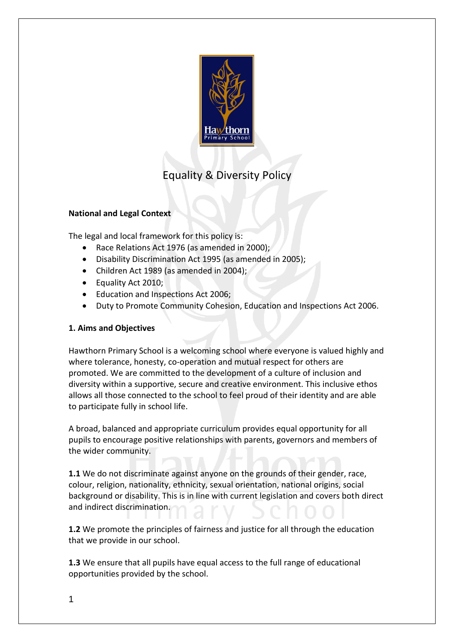

# Equality & Diversity Policy

### **National and Legal Context**

The legal and local framework for this policy is:

- Race Relations Act 1976 (as amended in 2000);
- Disability Discrimination Act 1995 (as amended in 2005);
- Children Act 1989 (as amended in 2004);
- Equality Act 2010:
- Education and Inspections Act 2006;
- Duty to Promote Community Cohesion, Education and Inspections Act 2006.

### **1. Aims and Objectives**

Hawthorn Primary School is a welcoming school where everyone is valued highly and where tolerance, honesty, co-operation and mutual respect for others are promoted. We are committed to the development of a culture of inclusion and diversity within a supportive, secure and creative environment. This inclusive ethos allows all those connected to the school to feel proud of their identity and are able to participate fully in school life.

A broad, balanced and appropriate curriculum provides equal opportunity for all pupils to encourage positive relationships with parents, governors and members of the wider community.

**1.1** We do not discriminate against anyone on the grounds of their gender, race, colour, religion, nationality, ethnicity, sexual orientation, national origins, social background or disability. This is in line with current legislation and covers both direct and indirect discrimination.

**1.2** We promote the principles of fairness and justice for all through the education that we provide in our school.

**1.3** We ensure that all pupils have equal access to the full range of educational opportunities provided by the school.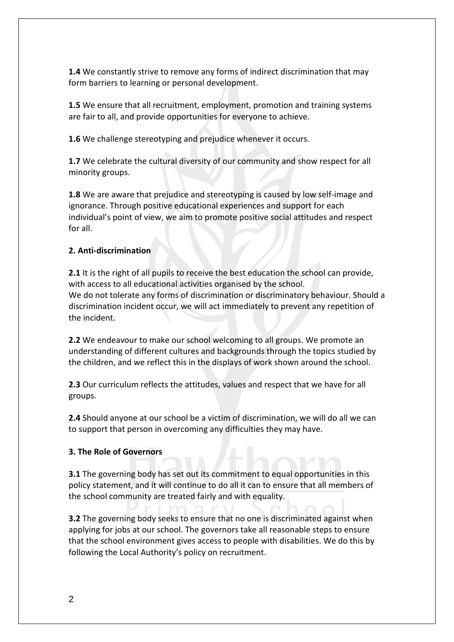**1.4** We constantly strive to remove any forms of indirect discrimination that may form barriers to learning or personal development.

**1.5** We ensure that all recruitment, employment, promotion and training systems are fair to all, and provide opportunities for everyone to achieve.

**1.6** We challenge stereotyping and prejudice whenever it occurs.

**1.7** We celebrate the cultural diversity of our community and show respect for all minority groups.

**1.8** We are aware that prejudice and stereotyping is caused by low self-image and ignorance. Through positive educational experiences and support for each individual's point of view, we aim to promote positive social attitudes and respect for all.

#### **2. Anti-discrimination**

**2.1** It is the right of all pupils to receive the best education the school can provide, with access to all educational activities organised by the school. We do not tolerate any forms of discrimination or discriminatory behaviour. Should a discrimination incident occur, we will act immediately to prevent any repetition of the incident.

**2.2** We endeavour to make our school welcoming to all groups. We promote an understanding of different cultures and backgrounds through the topics studied by the children, and we reflect this in the displays of work shown around the school.

**2.3** Our curriculum reflects the attitudes, values and respect that we have for all groups.

**2.4** Should anyone at our school be a victim of discrimination, we will do all we can to support that person in overcoming any difficulties they may have.

### **3. The Role of Governors**

**3.1** The governing body has set out its commitment to equal opportunities in this policy statement, and it will continue to do all it can to ensure that all members of the school community are treated fairly and with equality.

**3.2** The governing body seeks to ensure that no one is discriminated against when applying for jobs at our school. The governors take all reasonable steps to ensure that the school environment gives access to people with disabilities. We do this by following the Local Authority's policy on recruitment.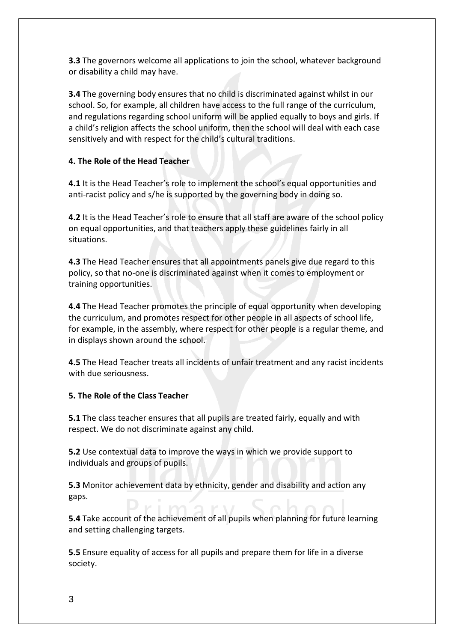**3.3** The governors welcome all applications to join the school, whatever background or disability a child may have.

**3.4** The governing body ensures that no child is discriminated against whilst in our school. So, for example, all children have access to the full range of the curriculum, and regulations regarding school uniform will be applied equally to boys and girls. If a child's religion affects the school uniform, then the school will deal with each case sensitively and with respect for the child's cultural traditions.

## **4. The Role of the Head Teacher**

**4.1** It is the Head Teacher's role to implement the school's equal opportunities and anti-racist policy and s/he is supported by the governing body in doing so.

**4.2** It is the Head Teacher's role to ensure that all staff are aware of the school policy on equal opportunities, and that teachers apply these guidelines fairly in all situations.

**4.3** The Head Teacher ensures that all appointments panels give due regard to this policy, so that no-one is discriminated against when it comes to employment or training opportunities.

**4.4** The Head Teacher promotes the principle of equal opportunity when developing the curriculum, and promotes respect for other people in all aspects of school life, for example, in the assembly, where respect for other people is a regular theme, and in displays shown around the school.

**4.5** The Head Teacher treats all incidents of unfair treatment and any racist incidents with due seriousness.

### **5. The Role of the Class Teacher**

**5.1** The class teacher ensures that all pupils are treated fairly, equally and with respect. We do not discriminate against any child.

**5.2** Use contextual data to improve the ways in which we provide support to individuals and groups of pupils.

**5.3** Monitor achievement data by ethnicity, gender and disability and action any gaps.

**5.4** Take account of the achievement of all pupils when planning for future learning and setting challenging targets.

**5.5** Ensure equality of access for all pupils and prepare them for life in a diverse society.